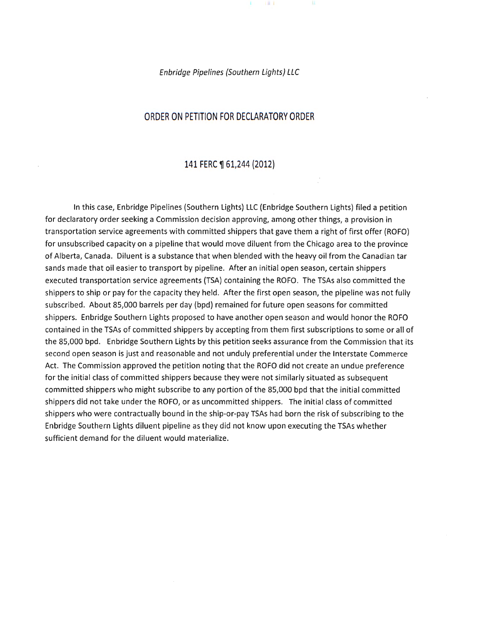Enbridge Pipelines {Southern Lights) LLC

### ORDER ON PETITION FOR DECLARATORY ORDER

#### 141 FERC ¶ 61,244 (2012)

In this case, Enbridge Pipelines (Southern Lights) LLC (Enbridge Southern Lights) filed a petition for declaratory order seeking a Commission decision approving, among other things, a provision in transportation service agreements with committed shippers that gave them a right of first offer (ROFO) for unsubscribed capacity on a pipeline that would move diluent from the Chicago area to the province of Alberta, Canada. Diluent is a substance that when blended with the heavy oil from the Canadian tar sands made that oil easier to transport by pipeline. After an initial open season, certain shippers executed transportation service agreements (TSA) containing the ROFO. The TSAs also committed the shippers to ship or pay for the capacity they held. After the first open season, the pipeline was not fully subscribed. About 85,000 barrels per day (bpd) remained for future open seasons for committed shippers. Enbridge Southern Lights proposed to have another open season and would honor the ROFO contained in the TSAs of committed shippers by accepting from them first subscriptions to some or all of the 85,000 bpd. Enbridge Southern Lights by this petition seeks assurance from the Commission that its second open season is just and reasonable and not unduly preferential under the Interstate Commerce Act. The Commission approved the petition noting that the ROFO did not create an undue preference for the initial class of committed shippers because they were not similarly situated as subsequent committed shippers who might subscribe to any portion of the 85,000 bpd that the initial committed shippers did not take under the ROFO, or as uncommitted shippers. The initial class of committed shippers who were contractually bound in the ship-or-pay TSAs had born the risk of subscribing to the Enbridge Southern Lights diluent pipeline as they did not know upon executing the TSAs whether sufficient demand for the diluent would materialize.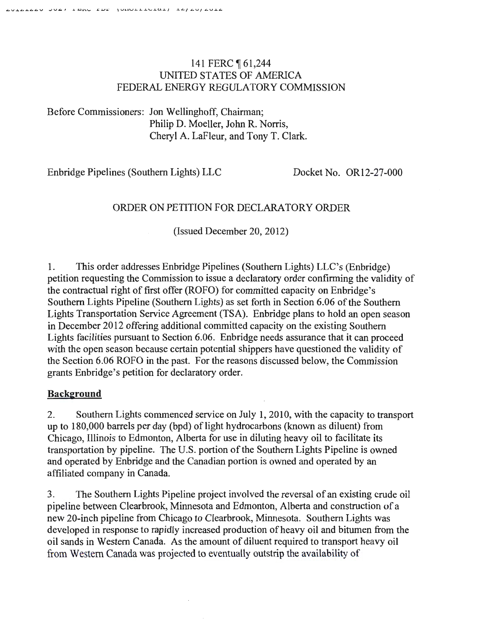# 141 FERC ¶ 61,244 UNITED STATES OF AMERICA FEDERAL ENERGY REGULATORY COMMISSION

Before Commissioners: Jon Wellinghoff, Chairman; Philip D. Moeller, John R. Norris, Cheryl A. LaFleur, and Tony T. Clark.

Enbridge Pipelines (Southern Lights) LLC Docket No. OR12-27-000

# ORDER ON PETITION FOR DECLARATORY ORDER

(Issued December 20, 2012)

1. This order addresses Enbridge Pipelines (Southern Lights) LLC's (Enbridge) petition requesting the Commission to issue a declaratory order confirming the validity of the contractual right of first offer (ROFO) for committed capacity on Enbridge's Southern Lights Pipeline (Southern Lights) as set forth in Section 6.06 of the Southern Lights Transportation Service Agreement (TSA). Enbridge plans to hold an open season in December 2012 offering additional committed capacity on the existing Southern Lights facilities pursuant to Section 6.06. Enbridge needs assurance that it can proceed with the open season because certain potential shippers have questioned the validity of the Section 6.06 ROFO in the past. For the reasons discussed below, the Commission grants Enbridge's petition for declaratory order.

# **Background**

2. Southern Lights commenced service on July 1, 2010, with the capacity to transport up to 180,000 barrels per day (bpd) of light hydrocarbons (known as diluent) from Chicago, Illinois to Edmonton, Alberta for use in diluting heavy oil to facilitate its transportation by pipeline. The U.S. portion of the Southern Lights Pipeline is owned and operated by Enbridge and the Canadian portion is owned and operated by an affiliated company in Canada.

3. The Southern Lights Pipeline project involved the reversal of an existing crude oil pipeline between Clearbrook, Minnesota and Edmonton, Alberta and construction of a new 20-inch pipeline from Chicago to Clearbrook, Minnesota. Southern Lights was developed in response to rapidly increased production of heavy oil and bitumen from the oil sands in Western Canada. As the amount of diluent required to transport heavy oil from Western Canada was projected to eventually outstrip the availability of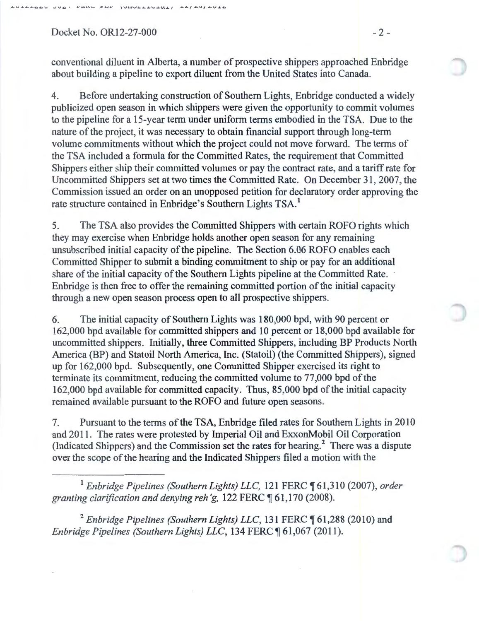Docket No. OR12-27-000 -2-

conventional diluent in Alberta, a number of prospective shippers approached Enbridge about building a pipeline to export diluent from the United States into Canada.

4. Before undertaking construction of Southern Lights, Enbridge conducted a widely publicized open season in which shippers were given the opportunity to commit volumes to the pipeline for a 15-year term under uniform terms embodied in the TSA. Due to the nature of the project, it was necessary to obtain financial support through long-term volume commitments without which the project could not move forward. The terms of the TSA included a formula for the Committed Rates, the requirement that Committed Shippers either ship their committed volumes or pay the contract rate, and a tariff rate for Uncommitted Shippers set at two times the Committed Rate. On December 31 , 2007, the Commission issued an order on an unopposed petition for declaratory order approving the rate structure contained in Enbridge's Southern Lights TSA.<sup>1</sup>

5. The TSA also provides the Committed Shippers with certain ROFO rights which they may exercise when Enbridge holds another open season for any remaining unsubscribed initial capacity of the pipeline. The Section 6.06 ROFO enables each Committed Shipper to submit a binding commitment to ship or pay for an additional share of the initial capacity of the Southern Lights pipeline at the Committed Rate. · En bridge is then free to offer the remaining committed portion of the initial capacity through a new open season process open to all prospective shippers.

6. The initial capacity of Southern Lights was 180,000 bpd, with 90 percent or 162,000 bpd available for committed shippers and 10 percent or 18,000 bpd available for uncommitted shippers. Initially, three Committed Shippers, including BP Products North America (BP) and Statoil North America, Inc. (Statoil) (the Committed Shippers), signed up for 162,000 bpd. Subsequently, one Committed Shipper exercised its right to terminate its commitment, reducing the committed volume to 77,000 bpd of the 162,000 bpd available for committed capacity. Thus, 85,000 bpd of the initial capacity remained available pursuant to the ROFO and future open seasons.

7. Pursuant to the terms of the TSA, Enbridge filed rates for Southern Lights in 2010 and 2011. The rates were protested by Imperial Oil and ExxonMobil Oil Corporation (Indicated Shippers) and the Commission set the rates for hearing.<sup>2</sup> There was a dispute over the scope of the hearing and the Indicated Shippers filed a motion with the

<sup>1</sup> Enbridge Pipelines (Southern Lights) LLC, 121 FERC ¶ 61,310 (2007), order *granting clarification and denying reh'g, 122 FERC* 161,170 (2008).

<sup>2</sup> Enbridge Pipelines (Southern Lights) LLC, 131 FERC ¶ 61,288 (2010) and *Enbridge Pipelines (Southern Lights) LLC, 134 FERC* ¶ 61,067 (2011).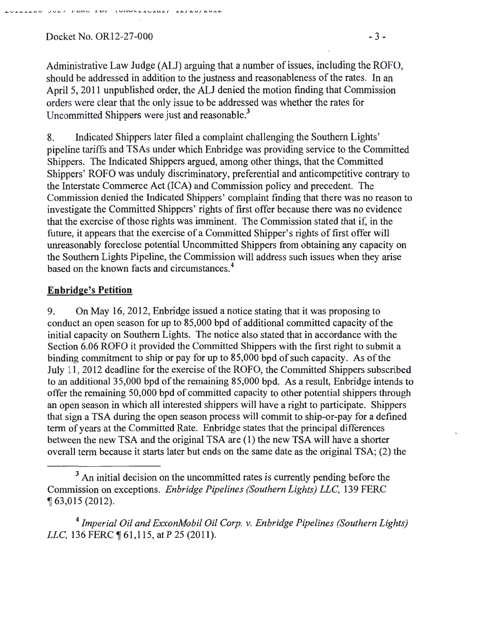Docket No. OR12-27-000 - 3 -

Administrative Law Judge (ALJ) arguing that a number of issues, including the ROFO, should be addressed in addition to the justness and reasonableness of the rates. In an April 5, 2011 unpublished order, the ALJ denied the motion finding that Commission orders were clear that the only issue to be addressed was whether the rates for Uncommitted Shippers were just and reasonable.<sup>3</sup>

8. Indicated Shippers later filed a complaint challenging the Southern Lights' pipeline tariffs and TSAs under which Enbridge was providing service to the Committed Shippers. The Indicated Shippers argued, among other things, that the Committed Shippers' ROFO was unduly discriminatory, preferential and anticompetitive contrary to the Interstate Commerce Act (ICA) and Commission policy and precedent. The Commission denied the Indicated Shippers' complaint finding that there was no reason to investigate the Committed Shippers' rights of first offer because there was no evidence that the exercise of those rights was imminent. The Commission stated that if, in the future, it appears that the exercise of a Committed Shipper's rights of first offer will unreasonably foreclose potential Uncommitted Shippers from obtaining any capacity on the Southern Lights Pipeline, the Commission will address such issues when they arise based on the known facts and circumstances. 4

### **Enbridge's Petition**

9. On May 16, 2012, Enbridge issued a notice stating that it was proposing to conduct an open season for up to 85,000 bpd of additional committed capacity of the initial capacity on Southern Lights. The notice also stated that in accordance with the Section 6.06 ROFO it provided the Committed Shippers with the first right to submit a binding commitment to ship or pay for up to 85,000 bpd of such capacity. As of the July 11, 2012 deadline for the exercise of the ROFO, the Committed Shippers subscribed to an additional35,000 bpd of the remaining 85,000 bpd. As a result, Enbridge intends to offer the remaining 50,000 bpd of committed capacity to other potential shippers through an open season in which all interested shippers will have a right to participate. Shippers that sign a TSA during the open season process will commit to ship-or-pay for a defined term of years at the Committed Rate. Enbridge states that the principal differences between the new TSA and the original TSA are (1) the new TSA will have a shorter overall term because it starts later but ends on the same date as the original TSA; (2) the

<sup>4</sup>*Imperial Oil and ExxonMobil Oil Corp. v. Enbridge Pipelines (Southern Lights) LLC*, 136 FERC ¶ 61,115, at P 25 (2011).

<sup>&</sup>lt;sup>3</sup> An initial decision on the uncommitted rates is currently pending before the Commission on exceptions. *Enbridge Pipelines (Southern Lights) LLC,* 139 FERC <sup>~</sup>63,015 (2012).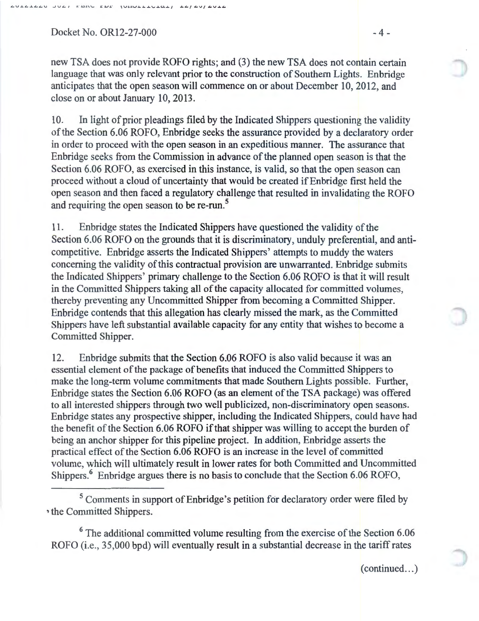$Dacket No. OR12-27-000$   $-4-$ 

new TSA does not provide ROFO rights; and (3) the new TSA does not contain certain language that was only relevant prior to the construction of Southern Lights. Enbridge anticipates that the open season will commence on or about December 10, 2012, and close on or about January 10, 2013.

10. In light of prior pleadings filed by the Indicated Shippers questioning the validity of the Section 6.06 ROFO, Enbridge seeks the assurance provided by a declaratory order in order to proceed with the open season in an expeditious manner. The assurance that Enbridge seeks from the Commission in advance of the planned open season is that the Section 6.06 ROFO, as exercised in this instance, is valid, so that the open season can proceed without a cloud of uncertainty that would be created ifEnbridge first held the open season and then faced a regulatory challenge that resulted in invalidating the ROFO and requiring the open season to be re-run.<sup>5</sup>

11. Enbridge states the Indicated Shippers have questioned the validity of the Section 6.06 ROFO on the grounds that it is discriminatory, unduly preferential, and anticompetitive. Enbridge asserts the Indicated Shippers' attempts to muddy the waters concerning the validity of this contractual provision are unwarranted. Enbridge submits the Indicated Shippers' primary challenge to the Section 6.06 ROFO is that it will result in the Committed Shippers taking all of the capacity allocated for committed volumes, thereby preventing any Uncommitted Shipper from becoming a Committed Shipper. Enbridge contends that this allegation has clearly missed the mark, as the Committed Shippers have left substantial available capacity for any entity that wishes to become a Committed Shipper.

12. Enbridge submits that the Section 6.06 ROFO is also valid because it was an essential element of the package of benefits that induced the Committed Shippers to make the long-term volume commitments that made Southern Lights possible. Further, Enbridge states the Section 6.06 ROFO (as an element of the TSA package) was offered to all interested shippers through two well publicized, non-discriminatory open seasons. Enbridge states any prospective shipper, including the Indicated Shippers, could have had the benefit of the Section 6.06 ROFO if that shipper was willing to accept the burden of being an anchor shipper for this pipeline project. In addition, Enbridge asserts the practical effect of the Section 6.06 ROFO is an increase in the level of committed volume, which will ultimately result in lower rates for both Committed and Uncommitted Shippers.<sup>6</sup> Enbridge argues there is no basis to conclude that the Section 6.06 ROFO,

<sup>5</sup> Comments in support of Enbridge's petition for declaratory order were filed by ~the Committed Shippers.

<sup>6</sup> The additional committed volume resulting from the exercise of the Section 6.06 ROFO (i.e., 35,000 bpd) will eventually result in a substantial decrease in the tariff rates

 $(continued...)$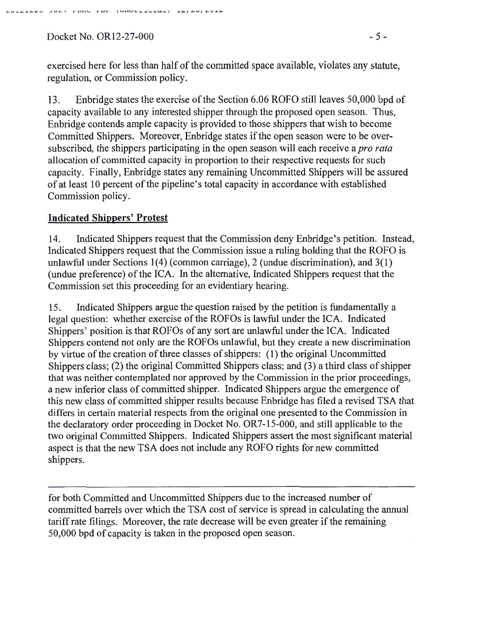$Docket No. OR12-27-000$  - 5 -

exercised here for less than half of the committed space available, violates any statute, regulation, or Commission policy.

13. Enbridge states the exercise of the Section 6.06 ROFO still leaves 50,000 bpd of capacity available to any interested shipper through the proposed open season. Thus, Enbridge contends ample capacity is provided to those shippers that wish to become Committed Shippers. Moreover, Enbridge states if the open season were to be oversubscribed, the shippers participating in the open season will each receive a *pro rata*  allocation of committed capacity in proportion to their respective requests for such capacity. Finally, Enbridge states any remaining Uncommitted Shippers will be assured of at least 10 percent of the pipeline's total capacity in accordance with established Commission policy.

### **Indicated Shippers' Protest**

14. Indicated Shippers request that the Commission deny Enbridge's petition. Instead, Indicated Shippers request that the Commission issue a ruling holding that the ROFO is unlawful under Sections  $1(4)$  (common carriage), 2 (undue discrimination), and  $3(1)$ (undue preference) of the ICA. In the alternative, Indicated Shippers request that the Commission set this proceeding for an evidentiary hearing.

15. Indicated Shippers argue the question raised by the petition is fundamentally a legal question: whether exercise of the ROFOs is lawful under the ICA. Indicated Shippers' position is that ROFOs of any sort are unlawful under the ICA. Indicated Shippers contend not only are the ROFOs unlawful, but they create a new discrimination by virtue of the creation of three classes of shippers: (I) the original Uncommitted Shippers class; (2) the original Committed Shippers class; and (3) a third class of shipper that was neither contemplated nor approved by the Commission in the prior proceedings, a new inferior class of committed shipper. Indicated Shippers argue the emergence of this new class of committed shipper results because Enbridge has· filed a revised TSA that differs in certain material respects from the original one presented to the Commission in the declaratory order proceeding in Docket No. OR7-15-000, and still applicable to the two original Committed Shippers. Indicated Shippers assert the most significant material aspect is that the new TSA does not include any ROFO rights for new committed shippers.

for both Committed and Uncommitted Shippers due to the increased number of committed barrels over which the TSA cost of service is spread in calculating the annual tariff rate filings. Moreover, the rate decrease will be even greater if the remaining 50,000 bpd of capacity is taken in the proposed open season.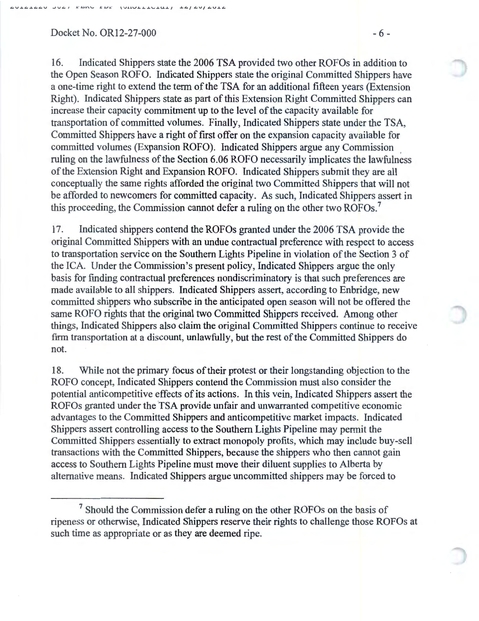### $Dacket No. OR12-27-000$  - 6 -

16. Indicated Shippers state the 2006 TSA provided two other ROFOs in addition to the Open Season ROFO. Indicated Shippers state the original Committed Shippers have a one-time right to extend the term of the TSA for an additional fifteen years (Extension Right). Indicated Shippers state as part of this Extension Right Committed Shippers can increase their capacity commitment up to the level of the capacity available for transportation of committed volumes. Finally, Indicated Shippers state under the TSA, Committed Shippers have a right of first offer on the expansion capacity available for committed volumes (Expansion ROFO). Indicated Shippers argue any Commission ruling on the lawfulness of the Section 6.06 ROFO necessarily implicates the lawfulness of the Extension Right and Expansion ROFO. Indicated Shippers submit they are all conceptually the same rights afforded the original two Committed Shippers that will not be afforded to newcomers for committed capacity. As such, Indicated Shippers assert in this proceeding, the Commission cannot defer a ruling on the other two ROFOs.<sup>7</sup>

17. Indicated shippers contend the ROFOs granted under the 2006 TSA provide the original Committed Shippers with an undue contractual preference with respect to access to transportation service on the Southern Lights Pipeline in violation of the Section 3 of the ICA. Under the Commission's present policy, Indicated Shippers argue the only basis for finding contractual preferences nondiscriminatory is that such preferences are made available to all shippers. Indicated Shippers assert, according to Enbridge, new committed shippers who subscribe in the anticipated open season will not be offered the same ROFO rights that the original two Committed Shippers received. Among other things, Indicated Shippers also claim the original Committed Shippers continue to receive firm transportation at a discount, unlawfully, but the rest of the Committed Shippers do not.

18. While not the primary focus of their protest or their longstanding objection to the ROFO concept, Indicated Shippers contend the Commission must also consider the potential anticompetitive effects of its actions. In this vein, Indicated Shippers assert the ROFOs granted under the TSA provide unfair and unwarranted competitive economic advantages to the Committed Shippers and anticompetitive market impacts. Indicated Shippers assert controlling access to the Southern Lights Pipeline may permit the Committed Shippers essentially to extract monopoly profits, which may include buy-sell transactions with the Committed Shippers, because the shippers who then cannot gain access to Southern Lights Pipeline must move their diluent supplies to Alberta by alternative means. Indicated Shippers argue uncommitted shippers may be forced to

<sup>&</sup>lt;sup>7</sup> Should the Commission defer a ruling on the other ROFOs on the basis of ripeness or otherwise, Indicated Shippers reserve their rights to challenge those ROFOs at such time as appropriate or as they are deemed ripe.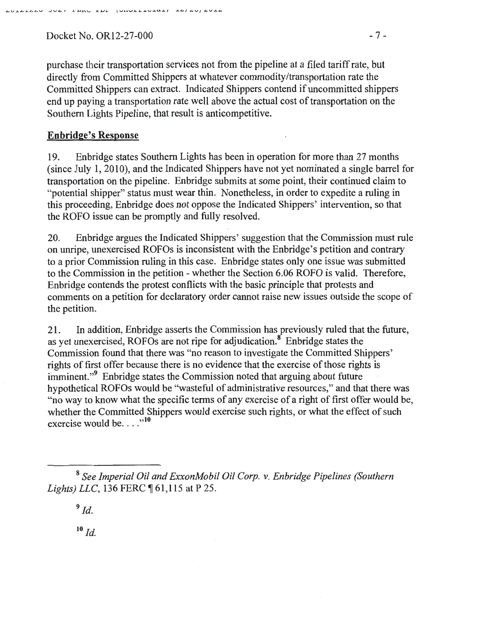$Docket No. OR12-27-000$  - 7 -

purchase their transportation services not from the pipeline at a filed tariff rate, but directly from Committed Shippers at whatever commodity /transportation rate the Committed Shippers can extract. Indicated Shippers contend if uncommitted shippers end up paying a transportation rate well above the actual cost of transportation on the Southern Lights Pipeline, that result is anticompetitive.

# Enbridge's Response

19. Enbridge states Southern Lights has been in operation for more than 27 months (since July 1, 2010), and the Indicated Shippers have not yet nominated a single barrel for transportation on the pipeline. Enbridge submits at some point, their continued claim to "potential shipper" status must wear thin. Nonetheless, in order to expedite a ruling in this proceeding, Enbridge does not oppose the Indicated Shippers' intervention, so that the ROFO issue can be promptly and fully resolved.

20. Enbridge argues the Indicated Shippers' suggestion that the Commission must rule on unripe, unexercised ROFOs is inconsistent with the Enbridge's petition and contrary to a prior Commission ruling in this case. Enbridge states only one issue was submitted to the Commission in the petition - whether the Section 6.06 ROFO is valid. Therefore, Enbridge contends the protest conflicts with the basic principle that protests and comments on a petition for declaratory order cannot raise new issues outside the scope of the petition.

21. In addition, Enbridge asserts the Commission has previously ruled that the future, as yet unexercised, ROFOs are not ripe for adjudication.<sup>8</sup> Enbridge states the Commission found that there was "no reason to investigate the Committed Shippers' rights of first offer because there is no evidence that the exercise of those rights is imminent."<sup>9</sup> Enbridge states the Commission noted that arguing about future hypothetical ROFOs would be ''wasteful of administrative resources," and that there was "no way to know what the specific terms of any exercise of a right of first offer would be, whether the Committed Shippers would exercise such rights, or what the effect of such exercise would be...." $10$ 

<sup>9</sup>*ld.* 

 $10 \, \text{Id}$ 

<sup>8</sup>*See Imperial Oil and ExxonMobil Oil Corp. v. Enbridge Pipelines (Southern Lights*) *LLC*, 136 FERC ¶ 61,115 at P 25.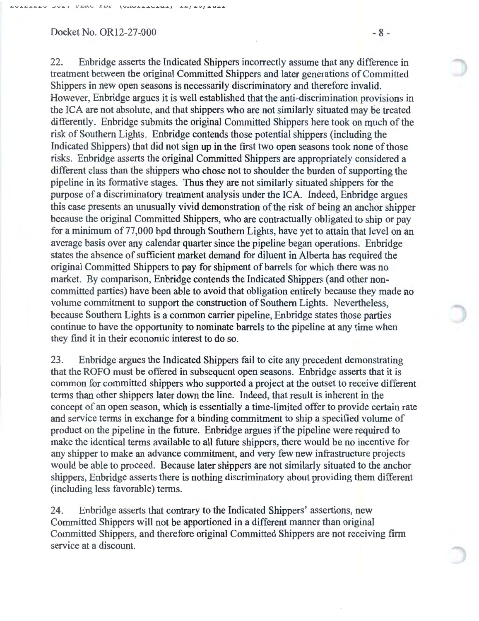### $Docket No. OR12-27-000$  - 8 -

22. Enbridge asserts the Indicated Shippers incorrectly assume that any difference in treatment between the original Committed Shippers and later generations of Committed Shippers in new open seasons is necessarily discriminatory and therefore invalid. However, Enbridge argues it is well established that the anti-discrimination provisions in the ICA are not absolute, and that shippers who are not similarly situated may be treated differently. Enbridge submits the original Committed Shippers here took on much of the risk of Southern Lights. Enbridge contends those potential shippers (including the Indicated Shippers) that did not sign up in the first two open seasons took none of those risks. Enbridge asserts the original Committed Shippers are appropriately considered a different class than the shippers who chose not to shoulder the burden of supporting the pipeline in its formative stages. Thus they are not similarly situated shippers for the purpose of a discriminatory treatment analysis under the ICA. Indeed, Enbridge argues this case presents an unusually vivid demonstration of the risk of being an anchor shipper because the original Committed Shippers, who are contractually obligated to ship or pay for a minimum of 77,000 bpd through Southern Lights, have yet to attain that level on an average basis over any calendar quarter since the pipeline began operations. Enbridge states the absence of sufficient market demand for diluent in Alberta has required the original Committed Shippers to pay for shipment of barrels for which there was no market. By comparison, Enbridge contends the Indicated Shippers (and other noncommitted parties) have been able to avoid that obligation entirely because they made no volume commitment to support the construction of Southern Lights. Nevertheless, because Southern Lights is a common carrier pipeline, En bridge states those parties continue to have the opportunity to nominate barrels to the pipeline at any time when they find it in their economic interest to do so.

23. Enbridge argues the Indicated Shippers fail to cite any precedent demonstrating that the ROFO must be offered in subsequent open seasons. Enbridge asserts that it is common for committed shippers who supported a project at the outset to receive different terms than other shippers later down the line. Indeed, that result is inherent in the concept of an open season, which is essentially a time-limited offer to provide certain rate and service terms in exchange for a binding commitment to ship a specified volume of product on the pipeline in the future. Enbridge argues if the pipeline were required to make the identical terms available to all future shippers, there would be no incentive for any shipper to make an advance commitment, and very few new infrastructure projects would be able to proceed. Because later shippers are not similarly situated to the anchor shippers, Enbridge asserts there is nothing discriminatory about providing them different (including less favorable) terms.

24. Enbridge asserts that contrary to the Indicated Shippers' assertions, new Committed Shippers will not be apportioned in a different manner than original Committed Shippers, and therefore original Committed Shippers are not receiving firm service at a discount.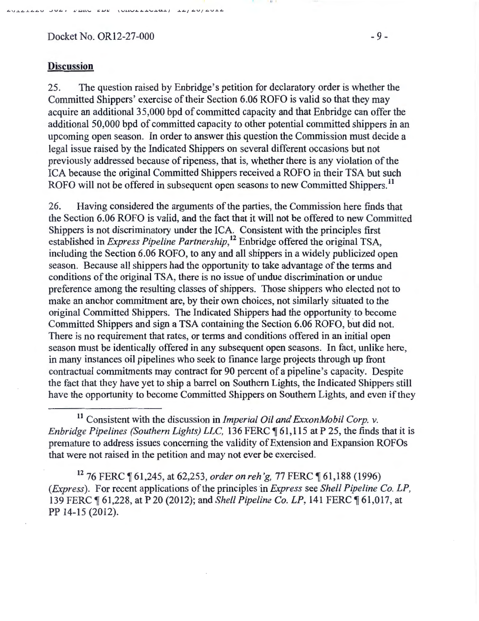Docket No. OR12-27-000 - 9 -

AVAALAAV JUAT PERU EDE (URULLEULANI) IAJAVJAVIA

### **Discussion**

25. The question raised by Enbridge's petition for declaratory order is whether the Committed Shippers' exercise of their Section 6.06 ROFO is valid so that they may acquire an additional35,000 bpd of committed capacity and that Enbridge can offer the additional 50,000 bpd of committed capacity to other potential committed shippers in an upcoming open season. In order to answer this question the Commission must decide a legal issue raised by the Indicated Shippers on several different occasions but not previously addressed because of ripeness, that is, whether there is any violation of the ICA because the original Committed Shippers received a ROFO in their TSA but such ROFO will not be offered in subsequent open seasons to new Committed Shippers.<sup>11</sup>

26. Having considered the arguments of the parties, the Commission here finds that the Section 6.06 ROFO is valid, and the fact that it will not be offered to new Committed Shippers is not discriminatory under the ICA. Consistent with the principles first established in *Express Pipeline Partnership,*  12 Enbridge offered the original TSA, including the Section 6.06 ROFO, to any and all shippers in a widely publicized open season. Because all shippers had the opportunity to take advantage of the terms and conditions of the original TSA, there is no issue of undue discrimination or undue preference among the resulting classes of shippers. Those shippers who elected not to make an anchor commitment are, by their own choices, not similarly situated to the original Committed Shippers. The Indicated Shippers had the opportunity to become Committed Shippers and sign a TSA containing the Section 6.06 ROFO, but did not. There is no requirement that rates, or terms and conditions offered in an initial open season must be identically offered in any subsequent open seasons. In fact, unlike here, in many instances oil pipelines who seek to finance large projects through up front contractual commitments may contract for 90 percent of a pipeline's capacity. Despite the fact that they have yet to ship a barrel on Southern Lights, the Indicated Shippers still have the opportunity to become Committed Shippers on Southern Lights, and even if they

<sup>11</sup> Consistent with the discussion in *Imperial Oil and ExxonMobil Corp. v. Enbridge Pipelines (Southern Lights) LLC,* 136 FERC  $\P$  61,115 at P 25, the finds that it is premature to address issues concerning the validity of Extension and Expansion ROFOs that were not raised in the petition and may not ever be exercised.

<sup>12</sup> 76 FERC ¶ 61,245, at 62,253, *order on reh'g, 77* FERC ¶ 61,188 (1996) *(Express).* For recent applications of the principles in *Express* see *Shell Pipeline Co. LP,*  139 FERC  $\P$  61,228, at P 20 (2012); and *Shell Pipeline Co. LP*, 141 FERC  $\P$  61,017, at PP 14-15 (2012).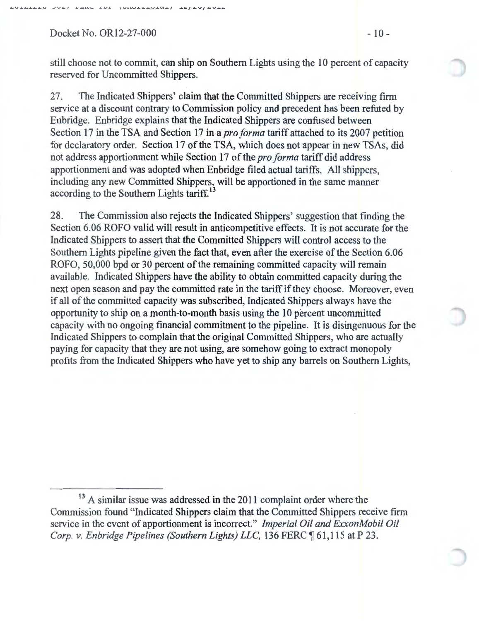Docket No. OR12-27-000 - 10 - 10 -

still choose not to commit, can ship on Southern Lights using the 10 percent of capacity reserved for Uncommitted Shippers.

27. The Indicated Shippers' claim that the Committed Shippers are receiving firm service at a discount contrary to Commission policy and precedent has been refuted by Enbridge. Enbridge explains that the Indicated Shippers are confused between Section 17 in the TSA and Section 17 in a *pro forma* tariff attached to its 2007 petition for declaratory order. Section 17 of the TSA, which does not appear in new TSAs, did not address apportionment while Section 17 of the *pro forma* tariff did address apportionment and was adopted when Enbridge filed actual tariffs. All shippers, including any new Committed Shippers, will be apportioned in the same manner according to the Southern Lights tariff.<sup>13</sup>

28. The Commission also rejects the Indicated Shippers' suggestion that finding the Section 6.06 ROFO valid will result in anticompetitive effects. It is not accurate for the Indicated Shippers to assert that the Committed Shippers will control access to the Southern Lights pipeline given the fact that, even after the exercise of the Section 6.06 ROFO, 50,000 bpd or 30 percent of the remaining committed capacity will remain available. Indicated Shippers have the ability to obtain committed capacity during the next open season and pay the committed rate in the tariff if they choose. Moreover, even if all of the committed capacity was subscribed, Indicated Shippers always have the opportunity to ship on a month-to-month basis using the 10 percent uncommitted capacity with no ongoing financial commitment to the pipeline. It is disingenuous for the Indicated Shippers to complain that the original Committed Shippers, who are actually paying for capacity that they are not using, are somehow going to extract monopoly profits from the Indicated Shippers who have yet to ship any barrels on Southern Lights,

<sup>&</sup>lt;sup>13</sup> A similar issue was addressed in the 2011 complaint order where the Commission found "Indicated Shippers claim that the Committed Shippers receive firm service in the event of apportionment is incorrect." *Imperial Oil and ExxonMobil Oil Corp. v. Enbridge Pipelines (Southern Lights) LLC,* 136 FERC ¶ 61,115 at P 23.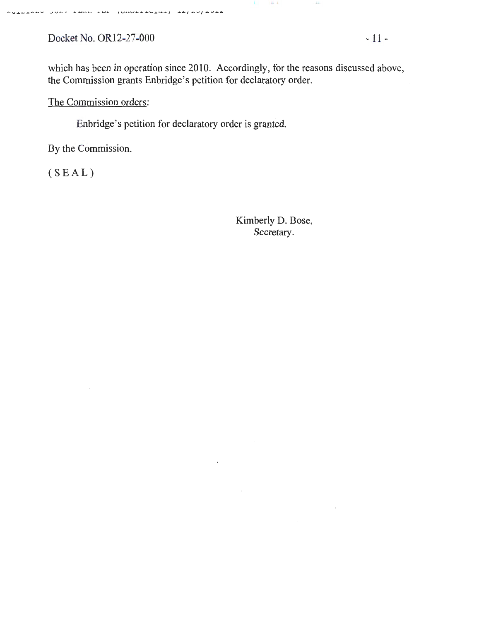Docket No. OR12-27-000 - 11 -

המדמדמה ממ*טו דחור דחר (החלרד*רמד) דל/פח/פחדמ

which has been in operation since 2010. Accordingly, for the reasons discussed above, the Commission grants Enbridge's petition for declaratory order.

The Commission orders:

Enbridge's petition for declaratory order is granted.

By the Commission.

(SEAL)

Kimberly D. Bose, Secretary.

 $\sim$ 

 $\sim 10^7$ 

 $\parallel$  H  $\parallel$  L  $\parallel$ 

 $\pm 1$